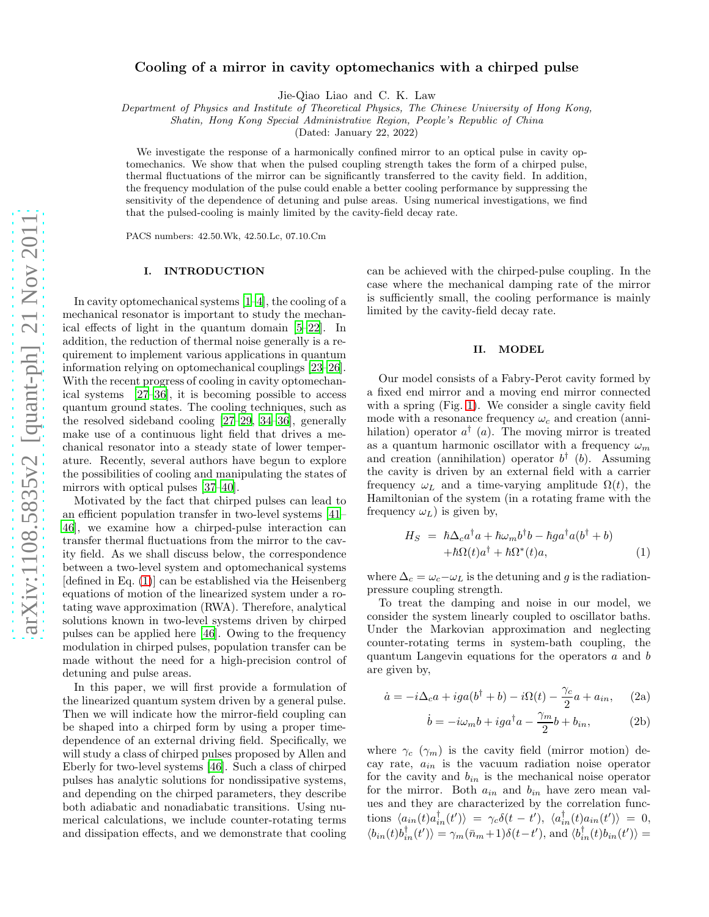# Cooling of a mirror in cavity optomechanics with a chirped pulse

Jie-Qiao Liao and C. K. Law

Department of Physics and Institute of Theoretical Physics, The Chinese University of Hong Kong,

Shatin, Hong Kong Special Administrative Region, People's Republic of China

(Dated: January 22, 2022)

We investigate the response of a harmonically confined mirror to an optical pulse in cavity optomechanics. We show that when the pulsed coupling strength takes the form of a chirped pulse, thermal fluctuations of the mirror can be significantly transferred to the cavity field. In addition, the frequency modulation of the pulse could enable a better cooling performance by suppressing the sensitivity of the dependence of detuning and pulse areas. Using numerical investigations, we find that the pulsed-cooling is mainly limited by the cavity-field decay rate.

PACS numbers: 42.50.Wk, 42.50.Lc, 07.10.Cm

#### I. INTRODUCTION

In cavity optomechanical systems [\[1](#page-4-0)[–4\]](#page-4-1), the cooling of a mechanical resonator is important to study the mechanical effects of light in the quantum domain [\[5](#page-4-2)[–22](#page-5-0)]. In addition, the reduction of thermal noise generally is a requirement to implement various applications in quantum information relying on optomechanical couplings [\[23](#page-5-1)[–26\]](#page-5-2). With the recent progress of cooling in cavity optomechanical systems [\[27](#page-5-3)[–36\]](#page-5-4), it is becoming possible to access quantum ground states. The cooling techniques, such as the resolved sideband cooling [\[27](#page-5-3)[–29,](#page-5-5) [34](#page-5-6)[–36\]](#page-5-4), generally make use of a continuous light field that drives a mechanical resonator into a steady state of lower temperature. Recently, several authors have begun to explore the possibilities of cooling and manipulating the states of mirrors with optical pulses [\[37–](#page-5-7)[40\]](#page-5-8).

Motivated by the fact that chirped pulses can lead to an efficient population transfer in two-level systems [\[41](#page-5-9)– [46\]](#page-5-10), we examine how a chirped-pulse interaction can transfer thermal fluctuations from the mirror to the cavity field. As we shall discuss below, the correspondence between a two-level system and optomechanical systems [defined in Eq. [\(1\)](#page-0-0)] can be established via the Heisenberg equations of motion of the linearized system under a rotating wave approximation (RWA). Therefore, analytical solutions known in two-level systems driven by chirped pulses can be applied here [\[46\]](#page-5-10). Owing to the frequency modulation in chirped pulses, population transfer can be made without the need for a high-precision control of detuning and pulse areas.

In this paper, we will first provide a formulation of the linearized quantum system driven by a general pulse. Then we will indicate how the mirror-field coupling can be shaped into a chirped form by using a proper timedependence of an external driving field. Specifically, we will study a class of chirped pulses proposed by Allen and Eberly for two-level systems [\[46\]](#page-5-10). Such a class of chirped pulses has analytic solutions for nondissipative systems, and depending on the chirped parameters, they describe both adiabatic and nonadiabatic transitions. Using numerical calculations, we include counter-rotating terms and dissipation effects, and we demonstrate that cooling

can be achieved with the chirped-pulse coupling. In the case where the mechanical damping rate of the mirror is sufficiently small, the cooling performance is mainly limited by the cavity-field decay rate.

### II. MODEL

Our model consists of a Fabry-Perot cavity formed by a fixed end mirror and a moving end mirror connected with a spring (Fig. [1\)](#page-1-0). We consider a single cavity field mode with a resonance frequency  $\omega_c$  and creation (annihilation) operator  $a^{\dagger}$  (*a*). The moving mirror is treated as a quantum harmonic oscillator with a frequency  $\omega_m$ and creation (annihilation) operator  $b^{\dagger}$  (b). Assuming the cavity is driven by an external field with a carrier frequency  $\omega_L$  and a time-varying amplitude  $\Omega(t)$ , the Hamiltonian of the system (in a rotating frame with the frequency  $\omega_L$ ) is given by,

<span id="page-0-0"></span>
$$
H_S = \hbar \Delta_c a^{\dagger} a + \hbar \omega_m b^{\dagger} b - \hbar g a^{\dagger} a (b^{\dagger} + b) + \hbar \Omega(t) a^{\dagger} + \hbar \Omega^*(t) a,
$$
 (1)

where  $\Delta_c = \omega_c - \omega_L$  is the detuning and g is the radiationpressure coupling strength.

To treat the damping and noise in our model, we consider the system linearly coupled to oscillator baths. Under the Markovian approximation and neglecting counter-rotating terms in system-bath coupling, the quantum Langevin equations for the operators a and b are given by,

$$
\dot{a} = -i\Delta_c a + iga(b^\dagger + b) - i\Omega(t) - \frac{\gamma_c}{2}a + a_{in}, \quad (2a)
$$

<span id="page-0-1"></span>
$$
\dot{b} = -i\omega_m b + ig a^\dagger a - \frac{\gamma_m}{2} b + b_{in},\tag{2b}
$$

where  $\gamma_c$  ( $\gamma_m$ ) is the cavity field (mirror motion) decay rate,  $a_{in}$  is the vacuum radiation noise operator for the cavity and  $b_{in}$  is the mechanical noise operator for the mirror. Both  $a_{in}$  and  $b_{in}$  have zero mean values and they are characterized by the correlation functions  $\langle a_{in}(t) a_{in}^{\dagger}(t') \rangle = \gamma_c \delta(t-t'), \langle a_{in}^{\dagger}(t) a_{in}(t') \rangle = 0,$  $\langle b_{in}(t)b_{in}^{\dagger}(t')\rangle = \gamma_m(\bar{n}_m+1)\delta(t-t'),$  and  $\langle b_{in}^{\dagger}(t)b_{in}(t')\rangle =$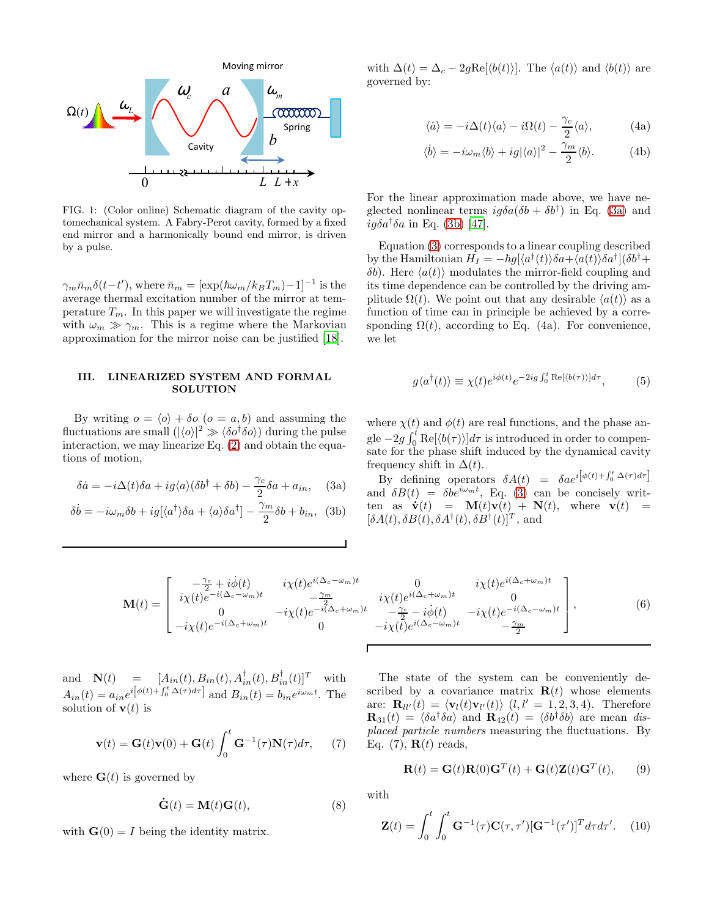

<span id="page-1-0"></span>FIG. 1: (Color online) Schematic diagram of the cavity optomechanical system. A Fabry-Perot cavity, formed by a fixed end mirror and a harmonically bound end mirror, is driven by a pulse.

 $\gamma_m \bar{n}_m \delta(t-t')$ , where  $\bar{n}_m = [\exp(\hbar \omega_m / k_B T_m) - 1]^{-1}$  is the average thermal excitation number of the mirror at temperature  $T_m$ . In this paper we will investigate the regime with  $\omega_m \gg \gamma_m$ . This is a regime where the Markovian approximation for the mirror noise can be justified [\[18](#page-5-11)].

# III. LINEARIZED SYSTEM AND FORMAL **SOLUTION**

By writing  $o = \langle o \rangle + \delta o$  ( $o = a, b$ ) and assuming the fluctuations are small  $(|\langle o \rangle|^2 \gg \langle \delta o^{\dagger} \delta o \rangle)$  during the pulse interaction, we may linearize Eq. [\(2\)](#page-0-1) and obtain the equations of motion,

<span id="page-1-3"></span>
$$
\delta \dot{a} = -i\Delta(t)\delta a + ig\langle a \rangle (\delta b^{\dagger} + \delta b) - \frac{\gamma_c}{2} \delta a + a_{in}, \quad (3a)
$$

$$
\delta \dot{b} = -i\omega_m \delta b + ig[\langle a^{\dagger} \rangle \delta a + \langle a \rangle \delta a^{\dagger}] - \frac{\gamma_m}{2} \delta b + b_{in}, \text{ (3b)}
$$

with  $\Delta(t) = \Delta_c - 2g \text{Re}[\langle b(t) \rangle]$ . The  $\langle a(t) \rangle$  and  $\langle b(t) \rangle$  are governed by:

<span id="page-1-5"></span>
$$
\langle \dot{a} \rangle = -i\Delta(t)\langle a \rangle - i\Omega(t) - \frac{\gamma_c}{2} \langle a \rangle, \tag{4a}
$$

$$
\langle \dot{b} \rangle = -i\omega_m \langle b \rangle + ig |\langle a \rangle|^2 - \frac{\gamma_m}{2} \langle b \rangle.
$$
 (4b)

For the linear approximation made above, we have neglected nonlinear terms  $ig\delta a(\delta b + \delta b^{\dagger})$  in Eq. [\(3a\)](#page-1-1) and  $ig\delta a^{\dagger}\delta a$  in Eq. [\(3b\)](#page-1-2) [\[47](#page-5-12)].

Equation [\(3\)](#page-1-3) corresponds to a linear coupling described by the Hamiltonian  $H_I = -\hbar g[\langle a^\dagger(t)\rangle\delta a + \bar{\langle} a(t) \rangle\delta a^\dagger](\delta b^\dagger +$ δb). Here  $\langle a(t) \rangle$  modulates the mirror-field coupling and its time dependence can be controlled by the driving amplitude  $\Omega(t)$ . We point out that any desirable  $\langle a(t) \rangle$  as a function of time can in principle be achieved by a corresponding  $\Omega(t)$ , according to Eq. (4a). For convenience, we let

<span id="page-1-4"></span>
$$
g\langle a^{\dagger}(t)\rangle \equiv \chi(t)e^{i\phi(t)}e^{-2ig\int_0^t \text{Re}[\langle b(\tau)\rangle]d\tau},\tag{5}
$$

where  $\chi(t)$  and  $\phi(t)$  are real functions, and the phase angle  $-2g \int_0^t \text{Re}[\langle b(\tau) \rangle] d\tau$  is introduced in order to compensate for the phase shift induced by the dynamical cavity frequency shift in  $\Delta(t)$ .

<span id="page-1-2"></span><span id="page-1-1"></span>By defining operators  $\delta A(t) = \delta a e^{i\left[\phi(t) + \int_0^t \Delta(\tau) d\tau\right]}$ and  $\delta B(t) = \delta b e^{i\omega_m t}$ , Eq. [\(3\)](#page-1-3) can be concisely written as  $\dot{\mathbf{v}}(t) = \mathbf{M}(t)\mathbf{v}(t) + \mathbf{N}(t)$ , where  $\mathbf{v}(t) =$  $[\delta A(t), \delta B(t), \delta A^{\dagger}(t), \delta B^{\dagger}(t)]^T$ , and

<span id="page-1-6"></span>
$$
\mathbf{M}(t) = \begin{bmatrix} -\frac{\gamma_c}{2} + i\dot{\phi}(t) & i\chi(t)e^{i(\Delta_c - \omega_m)t} & 0 & i\chi(t)e^{i(\Delta_c + \omega_m)t} \\ i\chi(t)e^{-i(\Delta_c - \omega_m)t} & -\frac{\gamma_m}{2} & i\chi(t)e^{i(\Delta_c + \omega_m)t} & 0 \\ 0 & -i\chi(t)e^{-i(\Delta_c + \omega_m)t} & -\frac{\gamma_c}{2} - i\dot{\phi}(t) & -i\chi(t)e^{-i(\Delta_c - \omega_m)t} \\ -i\chi(t)e^{-i(\Delta_c + \omega_m)t} & 0 & -i\chi(t)e^{i(\Delta_c - \omega_m)t} & -\frac{\gamma_m}{2} \end{bmatrix},
$$
(6)

and  $\mathbf{N}(t) = [A_{in}(t), B_{in}(t), A_{in}^{\dagger}(t), B_{in}^{\dagger}(t)]^T$  with  $A_{in}(t) = a_{in}e^{i\left[\phi(t) + \int_0^t \Delta(\tau)d\tau\right]}$  and  $B_{in}(t) = b_{in}e^{i\omega_m t}$ . The solution of  $\mathbf{v}(t)$  is

$$
\mathbf{v}(t) = \mathbf{G}(t)\mathbf{v}(0) + \mathbf{G}(t)\int_0^t \mathbf{G}^{-1}(\tau)\mathbf{N}(\tau)d\tau,
$$
 (7)

where  $\mathbf{G}(t)$  is governed by

<span id="page-1-8"></span>
$$
\dot{\mathbf{G}}(t) = \mathbf{M}(t)\mathbf{G}(t),\tag{8}
$$

with  $\mathbf{G}(0) = I$  being the identity matrix.

The state of the system can be conveniently described by a covariance matrix  $\mathbf{R}(t)$  whose elements are:  $\mathbf{R}_{ll'}(t) = \langle \mathbf{v}_l(t) \mathbf{v}_{l'}(t) \rangle$   $(l, l' = 1, 2, 3, 4)$ . Therefore  $\mathbf{R}_{31}(t) = \langle \delta a^{\dagger} \delta a \rangle$  and  $\mathbf{R}_{42}(t) = \langle \delta b^{\dagger} \delta b \rangle$  are mean displaced particle numbers measuring the fluctuations. By Eq.  $(7)$ ,  $\mathbf{R}(t)$  reads,

<span id="page-1-7"></span>
$$
\mathbf{R}(t) = \mathbf{G}(t)\mathbf{R}(0)\mathbf{G}^T(t) + \mathbf{G}(t)\mathbf{Z}(t)\mathbf{G}^T(t),
$$
 (9)

with

$$
\mathbf{Z}(t) = \int_0^t \int_0^t \mathbf{G}^{-1}(\tau) \mathbf{C}(\tau, \tau') [\mathbf{G}^{-1}(\tau')]^T d\tau d\tau'. \quad (10)
$$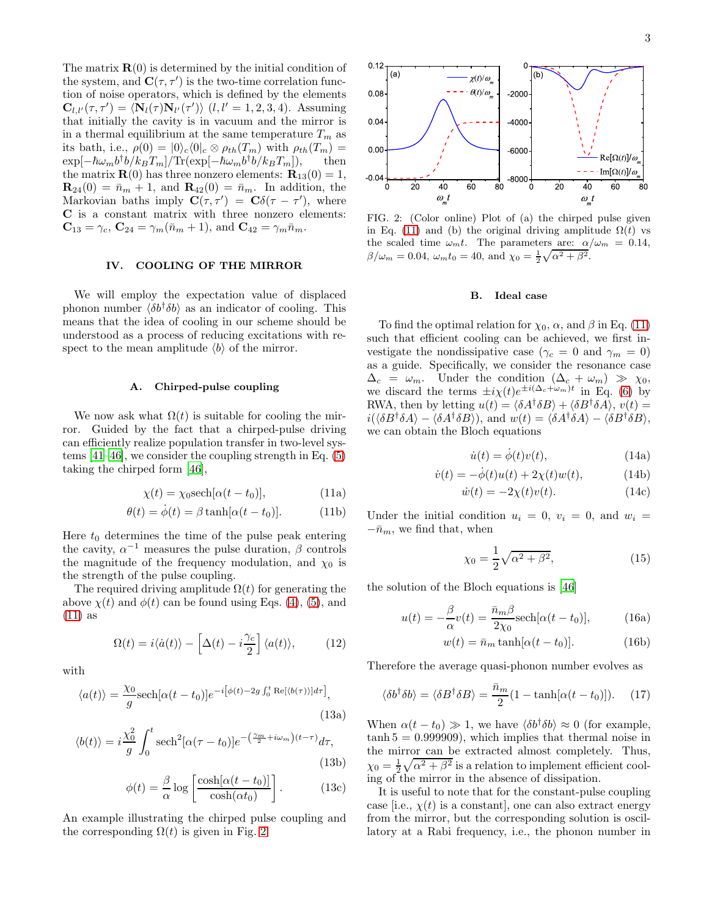The matrix  $\mathbf{R}(0)$  is determined by the initial condition of the system, and  $\mathbf{C}(\tau, \tau')$  is the two-time correlation function of noise operators, which is defined by the elements  $\mathbf{C}_{l,l'}(\tau,\tau') = \langle \mathbf{N}_l(\tau) \mathbf{N}_{l'}(\tau') \rangle$   $(l,l' = 1, 2, 3, 4)$ . Assuming that initially the cavity is in vacuum and the mirror is in a thermal equilibrium at the same temperature  $T_m$  as its bath, i.e.,  $\rho(0) = |0\rangle_c\langle 0|_c \otimes \rho_{th}(T_m)$  with  $\rho_{th}(T_m) =$  $\exp[-\hbar\omega_m b^\dagger b/k_B T_m]/\text{Tr}(\exp[-\hbar\omega_m b^\dagger b/k_B T_m]),$  then  $\exp[-\hbar \omega_m b^{\dagger} b / k_B T_m] / \text{Tr}(\exp[-\hbar \omega_m b^{\dagger} b / k_B T_m]),$  then<br>the matrix **R**(0) has three nonzero elements: **R**<sub>13</sub>(0) = 1,  $$ Markovian baths imply  $\mathbf{C}(\tau, \tau') = \mathbf{C}\delta(\tau - \tau')$ , where C is a constant matrix with three nonzero elements:  $C_{13} = \gamma_c, C_{24} = \gamma_m(\bar{n}_m + 1), \text{ and } C_{42} = \gamma_m \bar{n}_m.$ 

### IV. COOLING OF THE MIRROR

We will employ the expectation value of displaced phonon number  $\langle \delta b^{\dagger} \delta b \rangle$  as an indicator of cooling. This means that the idea of cooling in our scheme should be understood as a process of reducing excitations with respect to the mean amplitude  $\langle b \rangle$  of the mirror.

### A. Chirped-pulse coupling

We now ask what  $\Omega(t)$  is suitable for cooling the mirror. Guided by the fact that a chirped-pulse driving can efficiently realize population transfer in two-level systems [\[41](#page-5-9)[–46\]](#page-5-10), we consider the coupling strength in Eq. [\(5\)](#page-1-4) taking the chirped form [\[46\]](#page-5-10),

<span id="page-2-0"></span>
$$
\chi(t) = \chi_0 \text{sech}[\alpha(t - t_0)],\tag{11a}
$$

$$
\theta(t) = \dot{\phi}(t) = \beta \tanh[\alpha(t - t_0)]. \tag{11b}
$$

Here  $t_0$  determines the time of the pulse peak entering the cavity,  $\alpha^{-1}$  measures the pulse duration,  $\beta$  controls the magnitude of the frequency modulation, and  $\chi_0$  is the strength of the pulse coupling.

The required driving amplitude  $\Omega(t)$  for generating the above  $\chi(t)$  and  $\phi(t)$  can be found using Eqs. [\(4\)](#page-1-5), [\(5\)](#page-1-4), and [\(11\)](#page-2-0) as

$$
\Omega(t) = i \langle \dot{a}(t) \rangle - \left[ \Delta(t) - i \frac{\gamma_c}{2} \right] \langle a(t) \rangle, \tag{12}
$$

with

$$
\langle a(t) \rangle = \frac{\chi_0}{g} \text{sech}[\alpha(t - t_0)] e^{-i[\phi(t) - 2g \int_0^t \text{Re}[\langle b(\tau) \rangle] d\tau]},
$$
\n(13a)

$$
\langle b(t) \rangle = i \frac{\chi_0^2}{g} \int_0^t \mathrm{sech}^2[\alpha(\tau - t_0)] e^{-\left(\frac{\gamma_m}{2} + i\omega_m\right)(t - \tau)} d\tau,
$$
\n(13b)

$$
\phi(t) = \frac{\beta}{\alpha} \log \left[ \frac{\cosh[\alpha(t - t_0)]}{\cosh(\alpha t_0)} \right].
$$
 (13c)

An example illustrating the chirped pulse coupling and the corresponding  $\Omega(t)$  is given in Fig. [2.](#page-2-1)



<span id="page-2-1"></span>FIG. 2: (Color online) Plot of (a) the chirped pulse given in Eq. [\(11\)](#page-2-0) and (b) the original driving amplitude  $\Omega(t)$  vs the scaled time  $\omega_m t$ . The parameters are:  $\alpha/\omega_m = 0.14$ ,  $\beta/\omega_m = 0.04$ ,  $\omega_m t_0 = 40$ , and  $\chi_0 = \frac{1}{2}\sqrt{\alpha^2 + \beta^2}$ .

#### B. Ideal case

To find the optimal relation for  $\chi_0$ ,  $\alpha$ , and  $\beta$  in Eq. [\(11\)](#page-2-0) such that efficient cooling can be achieved, we first investigate the nondissipative case ( $\gamma_c = 0$  and  $\gamma_m = 0$ ) as a guide. Specifically, we consider the resonance case  $\Delta_c = \omega_m$ . Under the condition  $(\Delta_c + \omega_m) \gg \chi_0$ , we discard the terms  $\pm i \chi(t) e^{\pm i(\Delta_c + \omega_m)t}$  in Eq. [\(6\)](#page-1-6) by RWA, then by letting  $u(t) = \langle \delta A^{\dagger} \delta B \rangle + \langle \delta B^{\dagger} \delta A \rangle$ ,  $v(t) =$  $i(\langle \delta B^{\dagger} \delta A \rangle - \langle \delta A^{\dagger} \delta B \rangle),$  and  $w(t) = \langle \delta A^{\dagger} \delta A \rangle - \langle \delta B^{\dagger} \delta B \rangle,$ we can obtain the Bloch equations

$$
\dot{u}(t) = \dot{\phi}(t)v(t),\tag{14a}
$$

$$
\dot{v}(t) = -\dot{\phi}(t)u(t) + 2\chi(t)w(t),\tag{14b}
$$

$$
\dot{w}(t) = -2\chi(t)v(t). \tag{14c}
$$

Under the initial condition  $u_i = 0, v_i = 0,$  and  $w_i =$  $-\bar{n}_m$ , we find that, when

<span id="page-2-3"></span>
$$
\chi_0 = \frac{1}{2}\sqrt{\alpha^2 + \beta^2},\tag{15}
$$

the solution of the Bloch equations is [\[46\]](#page-5-10)

$$
u(t) = -\frac{\beta}{\alpha}v(t) = \frac{\bar{n}_m \beta}{2\chi_0} \text{sech}[\alpha(t - t_0)],\tag{16a}
$$

$$
w(t) = \bar{n}_m \tanh[\alpha(t - t_0)].
$$
 (16b)

Therefore the average quasi-phonon number evolves as

<span id="page-2-2"></span>
$$
\langle \delta b^{\dagger} \delta b \rangle = \langle \delta B^{\dagger} \delta B \rangle = \frac{\bar{n}_m}{2} (1 - \tanh[\alpha(t - t_0)]). \quad (17)
$$

When  $\alpha(t - t_0) \gg 1$ , we have  $\langle \delta b^{\dagger} \delta b \rangle \approx 0$  (for example,  $tanh 5 = 0.999909$ , which implies that thermal noise in the mirror can be extracted almost completely. Thus,  $\chi_0 = \frac{1}{2} \sqrt{\alpha^2 + \beta^2}$  is a relation to implement efficient cooling of the mirror in the absence of dissipation.

<span id="page-2-4"></span>It is useful to note that for the constant-pulse coupling case [i.e.,  $\chi(t)$  is a constant], one can also extract energy from the mirror, but the corresponding solution is oscillatory at a Rabi frequency, i.e., the phonon number in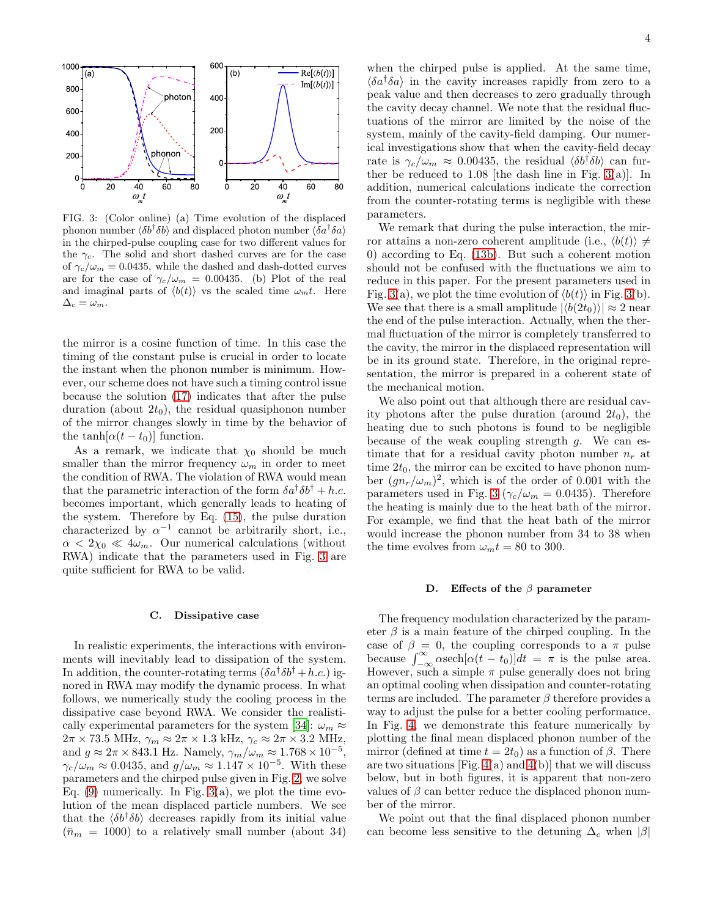

<span id="page-3-0"></span>FIG. 3: (Color online) (a) Time evolution of the displaced phonon number  $\langle \delta b^{\dagger} \delta b \rangle$  and displaced photon number  $\langle \delta a^{\dagger} \delta a \rangle$ in the chirped-pulse coupling case for two different values for the  $\gamma_c$ . The solid and short dashed curves are for the case of  $\gamma_c/\omega_m = 0.0435$ , while the dashed and dash-dotted curves are for the case of  $\gamma_c/\omega_m = 0.00435$ . (b) Plot of the real and imaginal parts of  $\langle b(t) \rangle$  vs the scaled time  $\omega_m t$ . Here  $\Delta_c = \omega_m.$ 

the mirror is a cosine function of time. In this case the timing of the constant pulse is crucial in order to locate the instant when the phonon number is minimum. However, our scheme does not have such a timing control issue because the solution [\(17\)](#page-2-2) indicates that after the pulse duration (about  $2t_0$ ), the residual quasiphonon number of the mirror changes slowly in time by the behavior of the tanh $[\alpha(t - t_0)]$  function.

As a remark, we indicate that  $\chi_0$  should be much smaller than the mirror frequency  $\omega_m$  in order to meet the condition of RWA. The violation of RWA would mean that the parametric interaction of the form  $\delta a^{\dagger} \delta b^{\dagger} + h.c.$ becomes important, which generally leads to heating of the system. Therefore by Eq. [\(15\)](#page-2-3), the pulse duration characterized by  $\alpha^{-1}$  cannot be arbitrarily short, i.e.,  $\alpha < 2\chi_0 \ll 4\omega_m$ . Our numerical calculations (without RWA) indicate that the parameters used in Fig. [3](#page-3-0) are quite sufficient for RWA to be valid.

### C. Dissipative case

In realistic experiments, the interactions with environments will inevitably lead to dissipation of the system. In addition, the counter-rotating terms  $(\delta a^{\dagger} \delta b^{\dagger} + h.c.)$  ignored in RWA may modify the dynamic process. In what follows, we numerically study the cooling process in the dissipative case beyond RWA. We consider the realisti-cally experimental parameters for the system [\[34\]](#page-5-6):  $\omega_m \approx$  $2\pi \times 73.5$  MHz,  $\gamma_m \approx 2\pi \times 1.3$  kHz,  $\gamma_c \approx 2\pi \times 3.2$  MHz, and  $g \approx 2\pi \times 843.1$  Hz. Namely,  $\gamma_m/\omega_m \approx 1.768 \times 10^{-5}$ ,  $\gamma_c/\omega_m \approx 0.0435$ , and  $g/\omega_m \approx 1.147 \times 10^{-5}$ . With these parameters and the chirped pulse given in Fig. [2,](#page-2-1) we solve Eq.  $(9)$  numerically. In Fig. [3\(](#page-3-0)a), we plot the time evolution of the mean displaced particle numbers. We see that the  $\langle \delta b^{\dagger} \delta b \rangle$  decreases rapidly from its initial value  $(\bar{n}_m = 1000)$  to a relatively small number (about 34)

when the chirped pulse is applied. At the same time,  $\langle \delta a^{\dagger} \delta a \rangle$  in the cavity increases rapidly from zero to a peak value and then decreases to zero gradually through the cavity decay channel. We note that the residual fluctuations of the mirror are limited by the noise of the system, mainly of the cavity-field damping. Our numerical investigations show that when the cavity-field decay rate is  $\gamma_c/\omega_m \approx 0.00435$ , the residual  $\langle \delta b^{\dagger} \delta b \rangle$  can further be reduced to  $1.08$  [the dash line in Fig. [3\(](#page-3-0)a)]. In addition, numerical calculations indicate the correction from the counter-rotating terms is negligible with these parameters.

We remark that during the pulse interaction, the mirror attains a non-zero coherent amplitude (i.e.,  $\langle b(t) \rangle \neq$ 0) according to Eq. [\(13b\)](#page-2-4). But such a coherent motion should not be confused with the fluctuations we aim to reduce in this paper. For the present parameters used in Fig. [3\(](#page-3-0)a), we plot the time evolution of  $\langle b(t) \rangle$  in Fig. 3(b). We see that there is a small amplitude  $|\langle b(2t_0)\rangle| \approx 2$  near the end of the pulse interaction. Actually, when the thermal fluctuation of the mirror is completely transferred to the cavity, the mirror in the displaced representation will be in its ground state. Therefore, in the original representation, the mirror is prepared in a coherent state of the mechanical motion.

We also point out that although there are residual cavity photons after the pulse duration (around  $2t_0$ ), the heating due to such photons is found to be negligible because of the weak coupling strength  $g$ . We can estimate that for a residual cavity photon number  $n_r$  at time  $2t_0$ , the mirror can be excited to have phonon number  $(gn_r/\omega_m)^2$ , which is of the order of 0.001 with the parameters used in Fig. [3](#page-3-0) ( $\gamma_c/\omega_m = 0.0435$ ). Therefore the heating is mainly due to the heat bath of the mirror. For example, we find that the heat bath of the mirror would increase the phonon number from 34 to 38 when the time evolves from  $\omega_m t = 80$  to 300.

#### D. Effects of the  $\beta$  parameter

The frequency modulation characterized by the parameter  $\beta$  is a main feature of the chirped coupling. In the case of  $\beta = 0$ , the coupling corresponds to a  $\pi$  pulse because  $\int_{-\infty}^{\infty} \alpha \operatorname{sech}[\alpha(t - t_0)]dt = \pi$  is the pulse area. However, such a simple  $\pi$  pulse generally does not bring an optimal cooling when dissipation and counter-rotating terms are included. The parameter  $\beta$  therefore provides a way to adjust the pulse for a better cooling performance. In Fig. [4,](#page-4-3) we demonstrate this feature numerically by plotting the final mean displaced phonon number of the mirror (defined at time  $t = 2t_0$ ) as a function of  $\beta$ . There are two situations [Fig.  $4(a)$  and  $4(b)$ ] that we will discuss below, but in both figures, it is apparent that non-zero values of  $\beta$  can better reduce the displaced phonon number of the mirror.

We point out that the final displaced phonon number can become less sensitive to the detuning  $\Delta_c$  when  $|\beta|$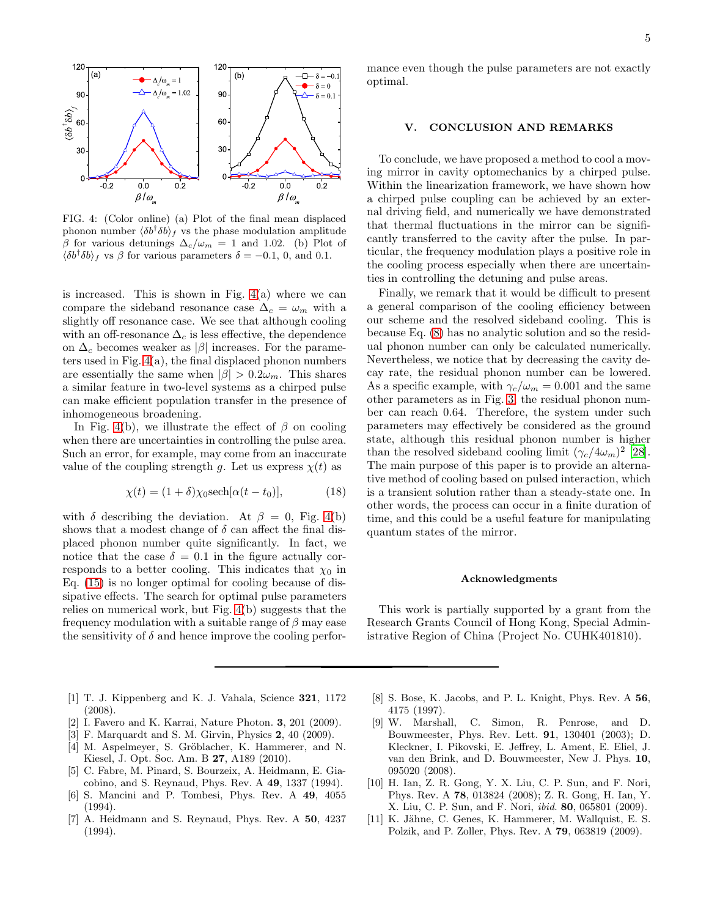

<span id="page-4-3"></span>FIG. 4: (Color online) (a) Plot of the final mean displaced phonon number  $\langle \delta b^{\dagger} \delta b \rangle_f$  vs the phase modulation amplitude β for various detunings  $\Delta_c/\omega_m = 1$  and 1.02. (b) Plot of  $\langle \delta b^{\dagger} \delta b \rangle_f$  vs  $\beta$  for various parameters  $\delta = -0.1, 0,$  and 0.1.

is increased. This is shown in Fig.  $4(a)$  where we can compare the sideband resonance case  $\Delta_c = \omega_m$  with a slightly off resonance case. We see that although cooling with an off-resonance  $\Delta_c$  is less effective, the dependence on  $\Delta_c$  becomes weaker as | $\beta$ | increases. For the parameters used in Fig. [4\(](#page-4-3)a), the final displaced phonon numbers are essentially the same when  $|\beta| > 0.2\omega_m$ . This shares a similar feature in two-level systems as a chirped pulse can make efficient population transfer in the presence of inhomogeneous broadening.

In Fig. [4\(](#page-4-3)b), we illustrate the effect of  $\beta$  on cooling when there are uncertainties in controlling the pulse area. Such an error, for example, may come from an inaccurate value of the coupling strength q. Let us express  $\chi(t)$  as

$$
\chi(t) = (1+\delta)\chi_0 \text{sech}[\alpha(t-t_0)],\tag{18}
$$

with  $\delta$  describing the deviation. At  $\beta = 0$ , Fig. [4\(](#page-4-3)b) shows that a modest change of  $\delta$  can affect the final displaced phonon number quite significantly. In fact, we notice that the case  $\delta = 0.1$  in the figure actually corresponds to a better cooling. This indicates that  $\chi_0$  in Eq. [\(15\)](#page-2-3) is no longer optimal for cooling because of dissipative effects. The search for optimal pulse parameters relies on numerical work, but Fig. [4\(](#page-4-3)b) suggests that the frequency modulation with a suitable range of  $\beta$  may ease the sensitivity of  $\delta$  and hence improve the cooling performance even though the pulse parameters are not exactly optimal.

# V. CONCLUSION AND REMARKS

To conclude, we have proposed a method to cool a moving mirror in cavity optomechanics by a chirped pulse. Within the linearization framework, we have shown how a chirped pulse coupling can be achieved by an external driving field, and numerically we have demonstrated that thermal fluctuations in the mirror can be significantly transferred to the cavity after the pulse. In particular, the frequency modulation plays a positive role in the cooling process especially when there are uncertainties in controlling the detuning and pulse areas.

Finally, we remark that it would be difficult to present a general comparison of the cooling efficiency between our scheme and the resolved sideband cooling. This is because Eq. [\(8\)](#page-1-8) has no analytic solution and so the residual phonon number can only be calculated numerically. Nevertheless, we notice that by decreasing the cavity decay rate, the residual phonon number can be lowered. As a specific example, with  $\gamma_c/\omega_m = 0.001$  and the same other parameters as in Fig. [3,](#page-3-0) the residual phonon number can reach 0.64. Therefore, the system under such parameters may effectively be considered as the ground state, although this residual phonon number is higher than the resolved sideband cooling limit  $(\gamma_c/4\omega_m)^2$  [\[28\]](#page-5-13). The main purpose of this paper is to provide an alternative method of cooling based on pulsed interaction, which is a transient solution rather than a steady-state one. In other words, the process can occur in a finite duration of time, and this could be a useful feature for manipulating quantum states of the mirror.

# Acknowledgments

This work is partially supported by a grant from the Research Grants Council of Hong Kong, Special Administrative Region of China (Project No. CUHK401810).

- <span id="page-4-0"></span>[1] T. J. Kippenberg and K. J. Vahala, Science 321, 1172 (2008).
- [2] I. Favero and K. Karrai, Nature Photon. 3, 201 (2009).
- [3] F. Marquardt and S. M. Girvin, Physics 2, 40 (2009).
- <span id="page-4-1"></span>[4] M. Aspelmeyer, S. Gröblacher, K. Hammerer, and N. Kiesel, J. Opt. Soc. Am. B 27, A189 (2010).
- <span id="page-4-2"></span>[5] C. Fabre, M. Pinard, S. Bourzeix, A. Heidmann, E. Giacobino, and S. Reynaud, Phys. Rev. A 49, 1337 (1994).
- [6] S. Mancini and P. Tombesi, Phys. Rev. A 49, 4055 (1994).
- [7] A. Heidmann and S. Reynaud, Phys. Rev. A 50, 4237 (1994).
- [8] S. Bose, K. Jacobs, and P. L. Knight, Phys. Rev. A 56, 4175 (1997).
- [9] W. Marshall, C. Simon, R. Penrose, and D. Bouwmeester, Phys. Rev. Lett. 91, 130401 (2003); D. Kleckner, I. Pikovski, E. Jeffrey, L. Ament, E. Eliel, J. van den Brink, and D. Bouwmeester, New J. Phys. 10, 095020 (2008).
- [10] H. Ian, Z. R. Gong, Y. X. Liu, C. P. Sun, and F. Nori, Phys. Rev. A 78, 013824 (2008); Z. R. Gong, H. Ian, Y. X. Liu, C. P. Sun, and F. Nori, ibid. 80, 065801 (2009).
- [11] K. Jähne, C. Genes, K. Hammerer, M. Wallquist, E. S. Polzik, and P. Zoller, Phys. Rev. A 79, 063819 (2009).